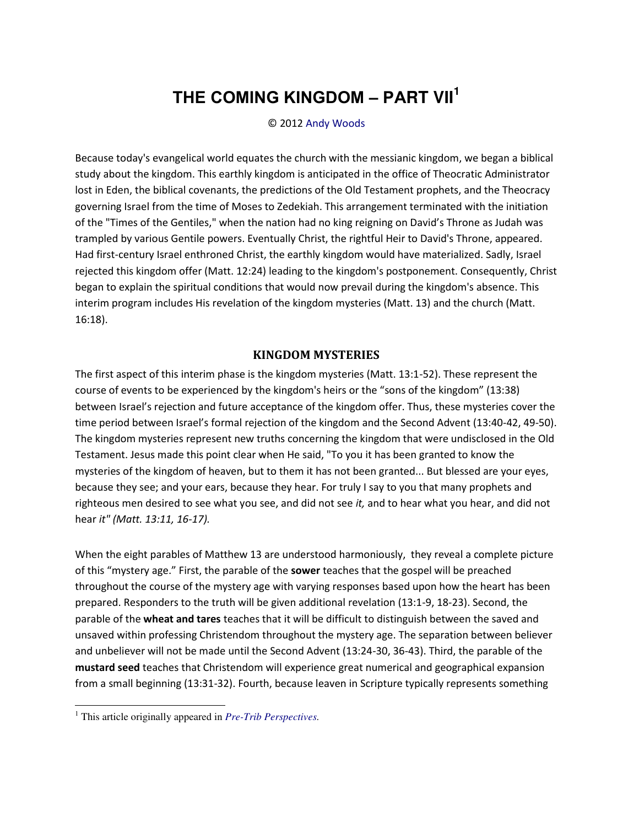# **THE COMING KINGDOM ‒ PART VII<sup>1</sup>**

#### © 2012 [Andy Woods](http://www.spiritandtruth.org/id/aw.htm)

Because today's evangelical world equates the church with the messianic kingdom, we began a biblical study about the kingdom. This earthly kingdom is anticipated in the office of Theocratic Administrator lost in Eden, the biblical covenants, the predictions of the Old Testament prophets, and the Theocracy governing Israel from the time of Moses to Zedekiah. This arrangement terminated with the initiation of the "Times of the Gentiles," when the nation had no king reigning on David's Throne as Judah was trampled by various Gentile powers. Eventually Christ, the rightful Heir to David's Throne, appeared. Had first-century Israel enthroned Christ, the earthly kingdom would have materialized. Sadly, Israel rejected this kingdom offer (Matt. 12:24) leading to the kingdom's postponement. Consequently, Christ began to explain the spiritual conditions that would now prevail during the kingdom's absence. This interim program includes His revelation of the kingdom mysteries (Matt. 13) and the church (Matt. 16:18).

#### **KINGDOM MYSTERIES**

The first aspect of this interim phase is the kingdom mysteries (Matt. 13:1-52). These represent the course of events to be experienced by the kingdom's heirs or the "sons of the kingdom" (13:38) between Israel's rejection and future acceptance of the kingdom offer. Thus, these mysteries cover the time period between Israel's formal rejection of the kingdom and the Second Advent (13:40-42, 49-50). The kingdom mysteries represent new truths concerning the kingdom that were undisclosed in the Old Testament. Jesus made this point clear when He said, "To you it has been granted to know the mysteries of the kingdom of heaven, but to them it has not been granted... But blessed are your eyes, because they see; and your ears, because they hear. For truly I say to you that many prophets and righteous men desired to see what you see, and did not see *it,* and to hear what you hear, and did not hear *it" (Matt. 13:11, 16-17).*

When the eight parables of Matthew 13 are understood harmoniously, they reveal a complete picture of this "mystery age." First, the parable of the **sower** teaches that the gospel will be preached throughout the course of the mystery age with varying responses based upon how the heart has been prepared. Responders to the truth will be given additional revelation (13:1-9, 18-23). Second, the parable of the **wheat and tares** teaches that it will be difficult to distinguish between the saved and unsaved within professing Christendom throughout the mystery age. The separation between believer and unbeliever will not be made until the Second Advent (13:24-30, 36-43). Third, the parable of the **mustard seed** teaches that Christendom will experience great numerical and geographical expansion from a small beginning (13:31-32). Fourth, because leaven in Scripture typically represents something

 $\overline{a}$ 

<sup>1</sup> This article originally appeared in *[Pre-Trib Perspectives.](http://www.pre-trib.org/)*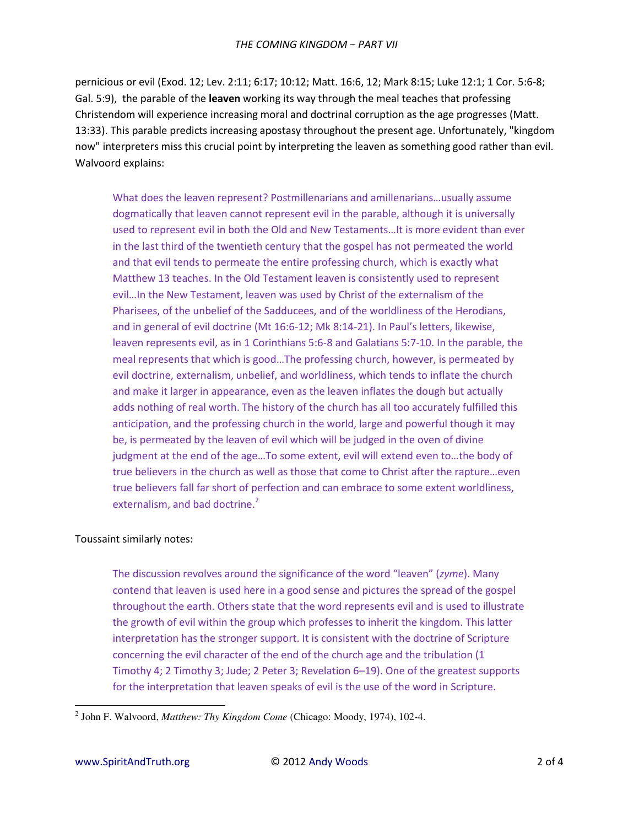pernicious or evil (Exod. 12; Lev. 2:11; 6:17; 10:12; Matt. 16:6, 12; Mark 8:15; Luke 12:1; 1 Cor. 5:6-8; Gal. 5:9), the parable of the leaven working its way through the meal teaches that professing Christendom will experience increasing moral and doctrinal corruption as the age progresses (Matt. 13:33). This parable predicts increasing apostasy throughout the present age. Unfortunately, "kingdom now" interpreters miss this crucial point by interpreting the leaven as something good rather than evil. Walvoord explains:

What does the leaven represent? Postmillenarians and amillenarians...usually assume dogmatically that leaven cannot represent evil in the parable, although it is universally used to represent evil in both the Old and New Testaments...It is more evident than ever in the last third of the twentieth century that the gospel has not permeated the world and that evil tends to permeate the entire professing church, which is exactly what Matthew 13 teaches. In the Old Testament leaven is consistently used to represent evil...In the New Testament, leaven was used by Christ of the externalism of the Pharisees, of the unbelief of the Sadducees, and of the worldliness of the Herodians, and in general of evil doctrine (Mt 16:6-12; Mk 8:14-21). In Paul's letters, likewise, leaven represents evil, as in 1 Corinthians 5:6-8 and Galatians 5:7-10. In the parable, the meal represents that which is good...The professing church, however, is permeated by evil doctrine, externalism, unbelief, and worldliness, which tends to inflate the church and make it larger in appearance, even as the leaven inflates the dough but actually adds nothing of real worth. The history of the church has all too accurately fulfilled this anticipation, and the professing church in the world, large and powerful though it may be, is permeated by the leaven of evil which will be judged in the oven of divine judgment at the end of the age...To some extent, evil will extend even to...the body of true believers in the church as well as those that come to Christ after the rapture...even true believers fall far short of perfection and can embrace to some extent worldliness, externalism, and bad doctrine.<sup>2</sup>

### Toussaint similarly notes:

The discussion revolves around the significance of the word "leaven" (zyme). Many contend that leaven is used here in a good sense and pictures the spread of the gospel throughout the earth. Others state that the word represents evil and is used to illustrate the growth of evil within the group which professes to inherit the kingdom. This latter interpretation has the stronger support. It is consistent with the doctrine of Scripture concerning the evil character of the end of the church age and the tribulation (1 Timothy 4; 2 Timothy 3; Jude; 2 Peter 3; Revelation 6-19). One of the greatest supports for the interpretation that leaven speaks of evil is the use of the word in Scripture.

 $^{2}$  John F. Walvoord, *Matthew: Thy Kingdom Come* (Chicago: Moody, 1974), 102-4.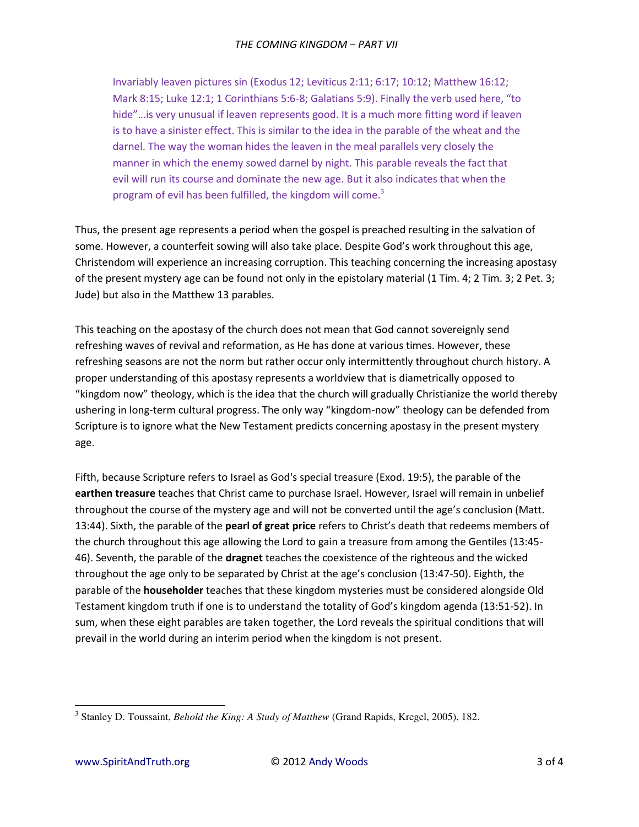Invariably leaven pictures sin (Exodus 12; Leviticus 2:11; 6:17; 10:12; Matthew 16:12; Mark 8:15; Luke 12:1; 1 Corinthians 5:6-8; Galatians 5:9). Finally the verb used here, "to hide"...is very unusual if leaven represents good. It is a much more fitting word if leaven is to have a sinister effect. This is similar to the idea in the parable of the wheat and the darnel. The way the woman hides the leaven in the meal parallels very closely the manner in which the enemy sowed darnel by night. This parable reveals the fact that evil will run its course and dominate the new age. But it also indicates that when the program of evil has been fulfilled, the kingdom will come.<sup>3</sup>

Thus, the present age represents a period when the gospel is preached resulting in the salvation of some. However, a counterfeit sowing will also take place. Despite God's work throughout this age, Christendom will experience an increasing corruption. This teaching concerning the increasing apostasy of the present mystery age can be found not only in the epistolary material (1 Tim. 4; 2 Tim. 3; 2 Pet. 3; Jude) but also in the Matthew 13 parables.

This teaching on the apostasy of the church does not mean that God cannot sovereignly send refreshing waves of revival and reformation, as He has done at various times. However, these refreshing seasons are not the norm but rather occur only intermittently throughout church history. A proper understanding of this apostasy represents a worldview that is diametrically opposed to "kingdom now" theology, which is the idea that the church will gradually Christianize the world thereby ushering in long-term cultural progress. The only way "kingdom-now" theology can be defended from Scripture is to ignore what the New Testament predicts concerning apostasy in the present mystery age.

Fifth, because Scripture refers to Israel as God's special treasure (Exod. 19:5), the parable of the earthen treasure teaches that Christ came to purchase Israel. However, Israel will remain in unbelief throughout the course of the mystery age and will not be converted until the age's conclusion (Matt. 13:44). Sixth, the parable of the pearl of great price refers to Christ's death that redeems members of the church throughout this age allowing the Lord to gain a treasure from among the Gentiles (13:45-46). Seventh, the parable of the dragnet teaches the coexistence of the righteous and the wicked throughout the age only to be separated by Christ at the age's conclusion (13:47-50). Eighth, the parable of the **householder** teaches that these kingdom mysteries must be considered alongside Old Testament kingdom truth if one is to understand the totality of God's kingdom agenda (13:51-52). In sum, when these eight parables are taken together, the Lord reveals the spiritual conditions that will prevail in the world during an interim period when the kingdom is not present.

<sup>&</sup>lt;sup>3</sup> Stanley D. Toussaint, *Behold the King: A Study of Matthew* (Grand Rapids, Kregel, 2005), 182.